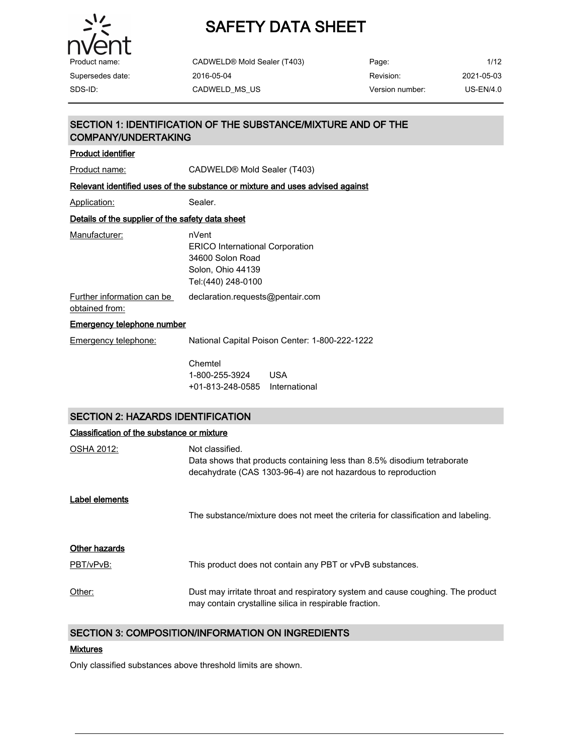

CADWELD® Mold Sealer (T403) 2016-05-04

| Page:           | 1/12        |
|-----------------|-------------|
| Revision:       | 2021-05-03  |
| Version number: | $US-EN/4.0$ |

### SECTION 1: IDENTIFICATION OF THE SUBSTANCE/MIXTURE AND OF THE COMPANY/UNDERTAKING Product identifier Product name: CADWELD® Mold Sealer (T403) Relevant identified uses of the substance or mixture and uses advised against Application: Sealer. Details of the supplier of the safety data sheet Manufacturer: nVent ERICO International Corporation 34600 Solon Road Solon, Ohio 44139 Tel:(440) 248-0100

Further information can be obtained from: declaration.requests@pentair.com

#### Emergency telephone number

| Emergency telephone: | National Capital Poison Center: 1-800-222-1222 |             |  |
|----------------------|------------------------------------------------|-------------|--|
|                      | Chemtel<br>1-800-255-3924                      | <b>TISA</b> |  |
|                      |                                                |             |  |

+01-813-248-0585 International

#### SECTION 2: HAZARDS IDENTIFICATION

| Classification of the substance or mixture |                                                                                                                                                             |
|--------------------------------------------|-------------------------------------------------------------------------------------------------------------------------------------------------------------|
| OSHA 2012:                                 | Not classified.<br>Data shows that products containing less than 8.5% disodium tetraborate<br>decahydrate (CAS 1303-96-4) are not hazardous to reproduction |
| Label elements                             | The substance/mixture does not meet the criteria for classification and labeling.                                                                           |
| <b>Other hazards</b><br>PBT/vPvB:          | This product does not contain any PBT or vPvB substances.                                                                                                   |
| Other:                                     | Dust may irritate throat and respiratory system and cause coughing. The product<br>may contain crystalline silica in respirable fraction.                   |

### SECTION 3: COMPOSITION/INFORMATION ON INGREDIENTS

#### Mixtures

Only classified substances above threshold limits are shown.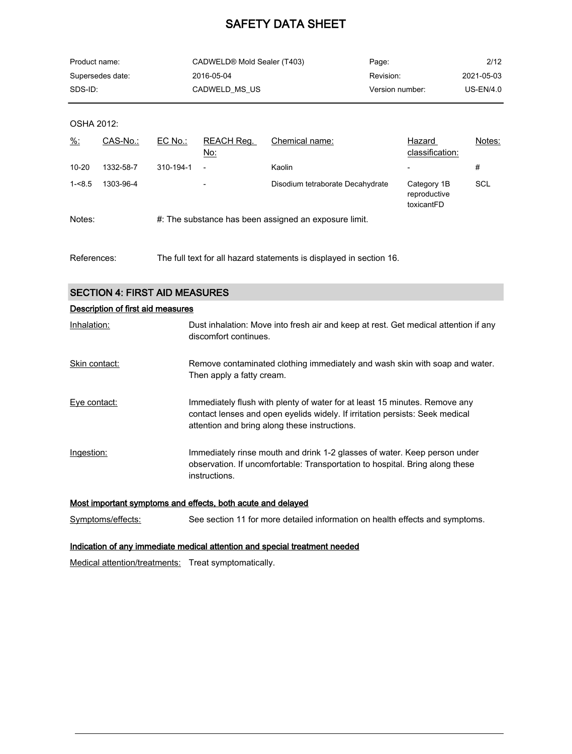| Product name:    | CADWELD® Mold Sealer (T403) | Page:           | 2/12        |
|------------------|-----------------------------|-----------------|-------------|
| Supersedes date: | 2016-05-04                  | Revision:       | 2021-05-03  |
| SDS-ID:          | CADWELD MS US               | Version number: | $US-EN/4.0$ |

OSHA 2012:

| $\frac{9}{6}$ : | CAS-No.:  | $EC$ No.: | REACH Reg.<br><u>No:</u> | Chemical name:                                        | Hazard<br>classification:                 | Notes: |
|-----------------|-----------|-----------|--------------------------|-------------------------------------------------------|-------------------------------------------|--------|
| $10 - 20$       | 1332-58-7 | 310-194-1 | $\overline{\phantom{a}}$ | Kaolin                                                |                                           | #      |
| $1 - 8.5$       | 1303-96-4 |           | $\overline{\phantom{0}}$ | Disodium tetraborate Decahydrate                      | Category 1B<br>reproductive<br>toxicantFD | SCL    |
| Notes:          |           |           |                          | #: The substance has been assigned an exposure limit. |                                           |        |

References: The full text for all hazard statements is displayed in section 16.

|  |  | <b>SECTION 4: FIRST AID MEASURES</b> |
|--|--|--------------------------------------|
|--|--|--------------------------------------|

| Description of first aid measures |                                                                                                                                                                                                             |  |  |
|-----------------------------------|-------------------------------------------------------------------------------------------------------------------------------------------------------------------------------------------------------------|--|--|
| Inhalation:                       | Dust inhalation: Move into fresh air and keep at rest. Get medical attention if any<br>discomfort continues.                                                                                                |  |  |
| Skin contact:                     | Remove contaminated clothing immediately and wash skin with soap and water.<br>Then apply a fatty cream.                                                                                                    |  |  |
| Eye contact:                      | Immediately flush with plenty of water for at least 15 minutes. Remove any<br>contact lenses and open eyelids widely. If irritation persists: Seek medical<br>attention and bring along these instructions. |  |  |
| Ingestion:                        | Immediately rinse mouth and drink 1-2 glasses of water. Keep person under<br>observation. If uncomfortable: Transportation to hospital. Bring along these<br>instructions.                                  |  |  |

Most important symptoms and effects, both acute and delayed

Symptoms/effects: See section 11 for more detailed information on health effects and symptoms.

#### Indication of any immediate medical attention and special treatment needed

Medical attention/treatments: Treat symptomatically.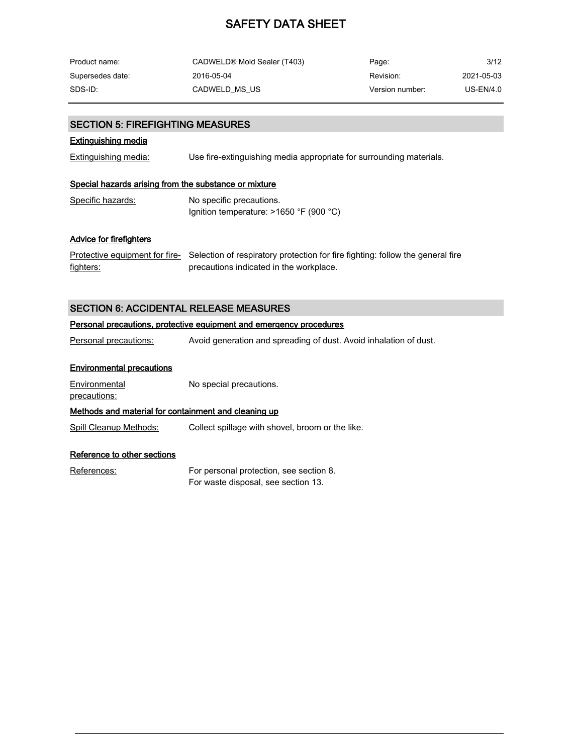| Product name:    | CADWELD® Mold Sealer (T403) | Page:           | 3/12       |
|------------------|-----------------------------|-----------------|------------|
| Supersedes date: | 2016-05-04                  | Revision:       | 2021-05-03 |
| SDS-ID:          | CADWELD MS US               | Version number: | US-EN/4.0  |

### SECTION 5: FIREFIGHTING MEASURES

#### Extinguishing media

Extinguishing media: Use fire-extinguishing media appropriate for surrounding materials.

#### Special hazards arising from the substance or mixture

| Specific hazards: | No specific precautions.                  |  |
|-------------------|-------------------------------------------|--|
|                   | Ignition temperature: $>1650$ °F (900 °C) |  |

#### Advice for firefighters

<u>Protective equipment for fire-</u> Selection of respiratory protection for fire fighting: follow the general fire fighters: precautions indicated in the workplace.

### SECTION 6: ACCIDENTAL RELEASE MEASURES

### Personal precautions, protective equipment and emergency procedures

Personal precautions: Avoid generation and spreading of dust. Avoid inhalation of dust.

#### Environmental precautions

**Environmental** No special precautions.

precautions:

### Methods and material for containment and cleaning up

Spill Cleanup Methods: Collect spillage with shovel, broom or the like.

#### Reference to other sections

References: For personal protection, see section 8. For waste disposal, see section 13.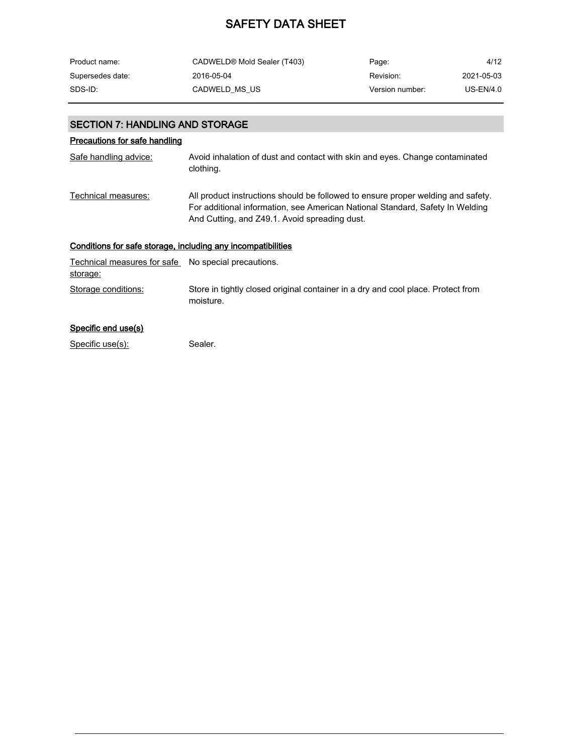| Product name:    | CADWELD® Mold Sealer (T403) | Page:           | 4/12       |
|------------------|-----------------------------|-----------------|------------|
| Supersedes date: | 2016-05-04                  | Revision:       | 2021-05-03 |
| SDS-ID:          | CADWELD MS US               | Version number: | US-EN/4.0  |

### SECTION 7: HANDLING AND STORAGE

### Precautions for safe handling

| Safe handling advice:                                           | Avoid inhalation of dust and contact with skin and eyes. Change contaminated<br>clothing.                                                                                                                          |
|-----------------------------------------------------------------|--------------------------------------------------------------------------------------------------------------------------------------------------------------------------------------------------------------------|
| Technical measures:                                             | All product instructions should be followed to ensure proper welding and safety.<br>For additional information, see American National Standard, Safety In Welding<br>And Cutting, and Z49.1. Avoid spreading dust. |
| Conditions for safe storage, including any incompatibilities    |                                                                                                                                                                                                                    |
| Technical measures for safe No special precautions.<br>storage: |                                                                                                                                                                                                                    |
| Storage conditions:                                             | Store in tightly closed original container in a dry and cool place. Protect from<br>moisture.                                                                                                                      |

### Specific end use(s)

Specific use(s): Sealer.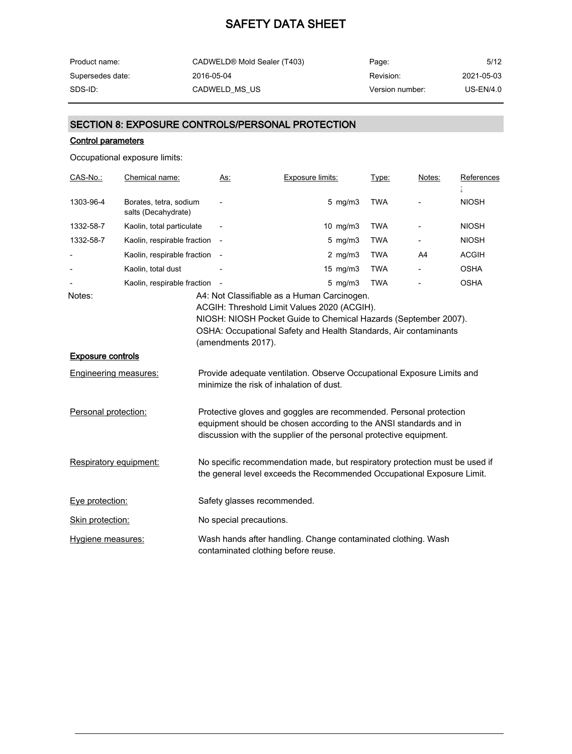| Product name:    | CADWELD® Mold Sealer (T403) | Page:           | 5/12        |
|------------------|-----------------------------|-----------------|-------------|
| Supersedes date: | 2016-05-04                  | Revision:       | 2021-05-03  |
| SDS-ID:          | CADWELD MS US               | Version number: | $US-EN/4.0$ |

### SECTION 8: EXPOSURE CONTROLS/PERSONAL PROTECTION

#### Control parameters

Occupational exposure limits:

| CAS-No.:                 | Chemical name:                                | <u>As:</u>               | <b>Exposure limits:</b>                                                                                                                                                                                       | Type:      | Notes: | References   |
|--------------------------|-----------------------------------------------|--------------------------|---------------------------------------------------------------------------------------------------------------------------------------------------------------------------------------------------------------|------------|--------|--------------|
| 1303-96-4                | Borates, tetra, sodium<br>salts (Decahydrate) |                          | $5$ mg/m $3$                                                                                                                                                                                                  | <b>TWA</b> |        | <b>NIOSH</b> |
| 1332-58-7                | Kaolin, total particulate                     | $\overline{\phantom{a}}$ | $10$ mg/m $3$                                                                                                                                                                                                 | <b>TWA</b> |        | <b>NIOSH</b> |
| 1332-58-7                | Kaolin, respirable fraction                   |                          | $5$ mg/m $3$                                                                                                                                                                                                  | <b>TWA</b> |        | <b>NIOSH</b> |
|                          | Kaolin, respirable fraction                   | $\sim$                   | 2 $mg/m3$                                                                                                                                                                                                     | <b>TWA</b> | A4     | <b>ACGIH</b> |
|                          | Kaolin, total dust                            |                          | $15 \text{ mg/m}$                                                                                                                                                                                             | <b>TWA</b> |        | <b>OSHA</b>  |
|                          | Kaolin, respirable fraction                   |                          | $5$ mg/m $3$                                                                                                                                                                                                  | <b>TWA</b> |        | <b>OSHA</b>  |
|                          |                                               | (amendments 2017).       | ACGIH: Threshold Limit Values 2020 (ACGIH).<br>NIOSH: NIOSH Pocket Guide to Chemical Hazards (September 2007).<br>OSHA: Occupational Safety and Health Standards, Air contaminants                            |            |        |              |
| <b>Exposure controls</b> |                                               |                          |                                                                                                                                                                                                               |            |        |              |
|                          | <b>Engineering measures:</b>                  |                          | Provide adequate ventilation. Observe Occupational Exposure Limits and<br>minimize the risk of inhalation of dust.                                                                                            |            |        |              |
| Personal protection:     |                                               |                          | Protective gloves and goggles are recommended. Personal protection<br>equipment should be chosen according to the ANSI standards and in<br>discussion with the supplier of the personal protective equipment. |            |        |              |
|                          | Respiratory equipment:                        |                          | No specific recommendation made, but respiratory protection must be used if<br>the general level exceeds the Recommended Occupational Exposure Limit.                                                         |            |        |              |
| Eye protection:          |                                               |                          | Safety glasses recommended.                                                                                                                                                                                   |            |        |              |
| Skin protection:         |                                               | No special precautions.  |                                                                                                                                                                                                               |            |        |              |
| Hygiene measures:        |                                               |                          | Wash hands after handling. Change contaminated clothing. Wash<br>contaminated clothing before reuse.                                                                                                          |            |        |              |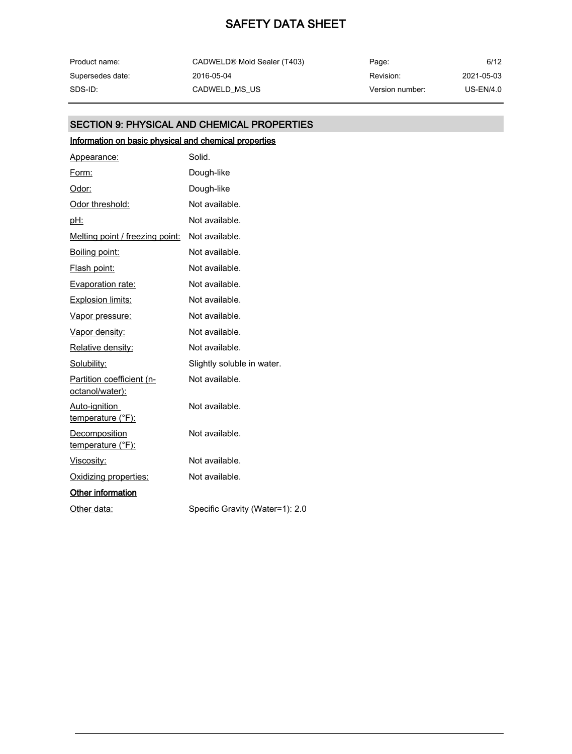| Product name:    | CADWELD® Mold Sealer (T403) | Page:           | 6/12        |
|------------------|-----------------------------|-----------------|-------------|
| Supersedes date: | 2016-05-04                  | Revision:       | 2021-05-03  |
| SDS-ID:          | CADWELD MS US               | Version number: | $US-EN/4.0$ |

### SECTION 9: PHYSICAL AND CHEMICAL PROPERTIES

### Information on basic physical and chemical properties

| Appearance:                                  | Solid.                          |
|----------------------------------------------|---------------------------------|
| Form:                                        | Dough-like                      |
| Odor:                                        | Dough-like                      |
| Odor threshold:                              | Not available.                  |
| pH:                                          | Not available.                  |
| Melting point / freezing point:              | Not available.                  |
| Boiling point:                               | Not available.                  |
| Flash point:                                 | Not available.                  |
| Evaporation rate:                            | Not available.                  |
| <b>Explosion limits:</b>                     | Not available.                  |
| Vapor pressure:                              | Not available.                  |
| Vapor density:                               | Not available.                  |
| Relative density:                            | Not available.                  |
| Solubility:                                  | Slightly soluble in water.      |
| Partition coefficient (n-<br>octanol/water): | Not available.                  |
| Auto-ignition<br>temperature (°F):           | Not available.                  |
| Decomposition<br>temperature (°F):           | Not available.                  |
| <u>Viscosity:</u>                            | Not available.                  |
| Oxidizing properties:                        | Not available.                  |
| <b>Other information</b>                     |                                 |
| Other data:                                  | Specific Gravity (Water=1): 2.0 |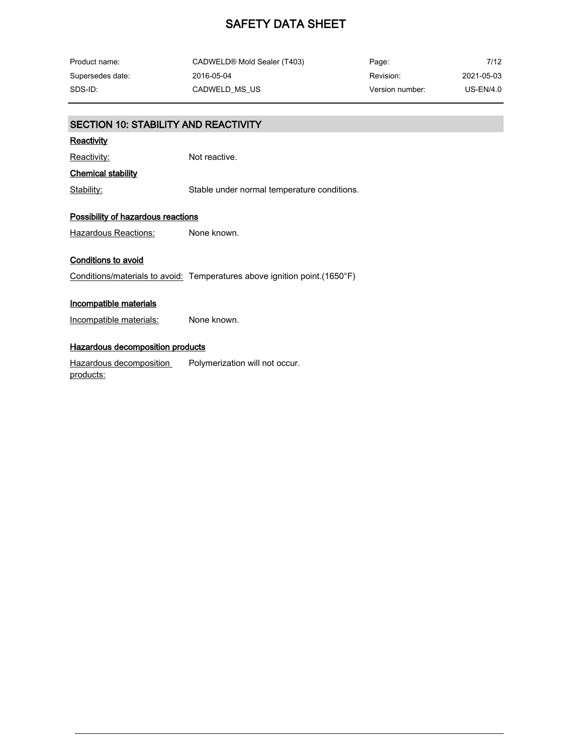| Product name:    | CADWELD® Mold Sealer (T403) | Page:           | 7/12        |
|------------------|-----------------------------|-----------------|-------------|
| Supersedes date: | 2016-05-04                  | Revision:       | 2021-05-03  |
| SDS-ID:          | CADWELD MS US               | Version number: | $US-EN/4.0$ |

| <b>SECTION 10: STABILITY AND REACTIVITY</b> |                                                                           |  |  |  |
|---------------------------------------------|---------------------------------------------------------------------------|--|--|--|
| <u>Reactivity</u>                           |                                                                           |  |  |  |
| <u>Reactivity:</u>                          | Not reactive.                                                             |  |  |  |
| <b>Chemical stability</b>                   |                                                                           |  |  |  |
| Stability:                                  | Stable under normal temperature conditions.                               |  |  |  |
| <b>Possibility of hazardous reactions</b>   |                                                                           |  |  |  |
| Hazardous Reactions:                        | None known.                                                               |  |  |  |
| <b>Conditions to avoid</b>                  |                                                                           |  |  |  |
|                                             | Conditions/materials to avoid: Temperatures above ignition point.(1650°F) |  |  |  |
| <b>Incompatible materials</b>               |                                                                           |  |  |  |
| Incompatible materials:                     | None known.                                                               |  |  |  |
| <b>Hazardous decomposition products</b>     |                                                                           |  |  |  |
| Hazardous decomposition<br><u>products:</u> | Polymerization will not occur.                                            |  |  |  |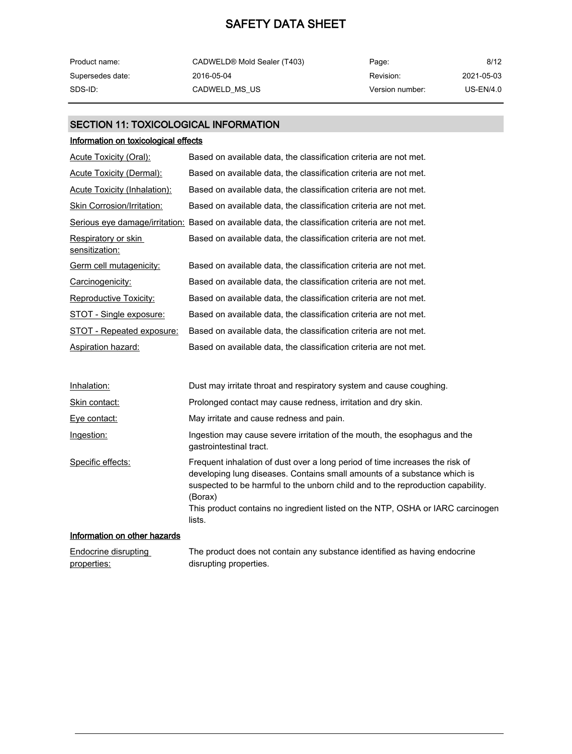| Product name:    | CADWELD® Mold Sealer (T403) | Page:           | 8/12        |
|------------------|-----------------------------|-----------------|-------------|
| Supersedes date: | 2016-05-04                  | Revision:       | 2021-05-03  |
| SDS-ID:          | CADWELD MS US               | Version number: | $US-EN/4.0$ |

### SECTION 11: TOXICOLOGICAL INFORMATION

### Information on toxicological effects

| Based on available data, the classification criteria are not met.                                |
|--------------------------------------------------------------------------------------------------|
| Based on available data, the classification criteria are not met.                                |
| Based on available data, the classification criteria are not met.                                |
| Based on available data, the classification criteria are not met.                                |
| Serious eye damage/irritation: Based on available data, the classification criteria are not met. |
| Based on available data, the classification criteria are not met.                                |
| Based on available data, the classification criteria are not met.                                |
| Based on available data, the classification criteria are not met.                                |
| Based on available data, the classification criteria are not met.                                |
| Based on available data, the classification criteria are not met.                                |
| Based on available data, the classification criteria are not met.                                |
| Based on available data, the classification criteria are not met.                                |
|                                                                                                  |

| Inhalation:                  | Dust may irritate throat and respiratory system and cause coughing.                                                                                                                                                                                                                                                                      |
|------------------------------|------------------------------------------------------------------------------------------------------------------------------------------------------------------------------------------------------------------------------------------------------------------------------------------------------------------------------------------|
| Skin contact:                | Prolonged contact may cause redness, irritation and dry skin.                                                                                                                                                                                                                                                                            |
| Eye contact:                 | May irritate and cause redness and pain.                                                                                                                                                                                                                                                                                                 |
| Ingestion:                   | Ingestion may cause severe irritation of the mouth, the esophagus and the<br>gastrointestinal tract.                                                                                                                                                                                                                                     |
| Specific effects:            | Frequent inhalation of dust over a long period of time increases the risk of<br>developing lung diseases. Contains small amounts of a substance which is<br>suspected to be harmful to the unborn child and to the reproduction capability.<br>(Borax)<br>This product contains no ingredient listed on the NTP, OSHA or IARC carcinogen |
|                              | lists.                                                                                                                                                                                                                                                                                                                                   |
| Information on other becards |                                                                                                                                                                                                                                                                                                                                          |

#### Information on other hazards

| <b>Endocrine disrupting</b> | The product does not contain any substance identified as having endocrine |
|-----------------------------|---------------------------------------------------------------------------|
| properties:                 | disrupting properties.                                                    |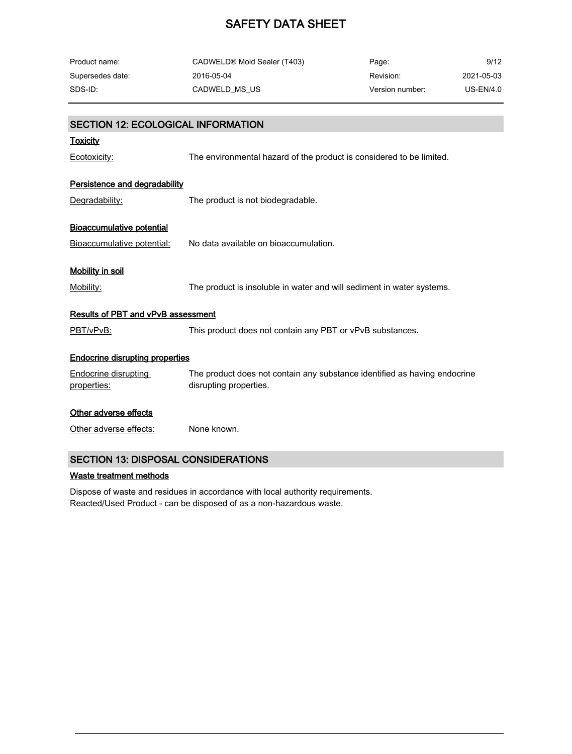| Product name:    | CADWELD® Mold Sealer (T403) | Page:           | 9/12        |
|------------------|-----------------------------|-----------------|-------------|
| Supersedes date: | 2016-05-04                  | Revision:       | 2021-05-03  |
| SDS-ID:          | CADWELD MS US               | Version number: | $US-EN/4.0$ |

| <b>SECTION 12: ECOLOGICAL INFORMATION</b>  |                                                                                                     |
|--------------------------------------------|-----------------------------------------------------------------------------------------------------|
| <u>Toxicity</u>                            |                                                                                                     |
| Ecotoxicity:                               | The environmental hazard of the product is considered to be limited.                                |
| Persistence and degradability              |                                                                                                     |
| Degradability:                             | The product is not biodegradable.                                                                   |
| <b>Bioaccumulative potential</b>           |                                                                                                     |
| Bioaccumulative potential:                 | No data available on bioaccumulation.                                                               |
| <u>Mobility in soil</u>                    |                                                                                                     |
| Mobility:                                  | The product is insoluble in water and will sediment in water systems.                               |
| <b>Results of PBT and vPvB assessment</b>  |                                                                                                     |
| PBT/vPvB:                                  | This product does not contain any PBT or vPvB substances.                                           |
| <b>Endocrine disrupting properties</b>     |                                                                                                     |
| <b>Endocrine disrupting</b><br>properties: | The product does not contain any substance identified as having endocrine<br>disrupting properties. |
| Other adverse effects                      |                                                                                                     |
| Other adverse effects:                     | None known.                                                                                         |
| <b>SECTION 13: DISPOSAL CONSIDERATIONS</b> |                                                                                                     |

### Waste treatment methods

Dispose of waste and residues in accordance with local authority requirements. Reacted/Used Product - can be disposed of as a non-hazardous waste.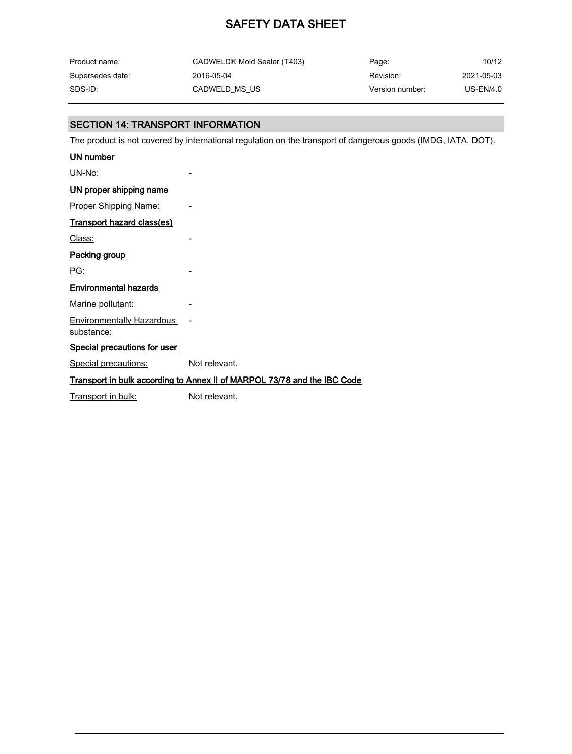| Product name:    | CADWELD® Mold Sealer (T403) | Page:           | 10/12       |
|------------------|-----------------------------|-----------------|-------------|
| Supersedes date: | 2016-05-04                  | Revision:       | 2021-05-03  |
| SDS-ID:          | CADWELD MS US               | Version number: | $US-EN/4.0$ |

### SECTION 14: TRANSPORT INFORMATION

The product is not covered by international regulation on the transport of dangerous goods (IMDG, IATA, DOT).

| UN number                                      |                                                                          |
|------------------------------------------------|--------------------------------------------------------------------------|
| UN-No:                                         |                                                                          |
| <u>UN proper shipping name</u>                 |                                                                          |
| <b>Proper Shipping Name:</b>                   |                                                                          |
| <b>Transport hazard class(es)</b>              |                                                                          |
| Class:                                         |                                                                          |
| Packing group                                  |                                                                          |
| PG:                                            |                                                                          |
| <b>Environmental hazards</b>                   |                                                                          |
| Marine pollutant:                              |                                                                          |
| <b>Environmentally Hazardous</b><br>substance: |                                                                          |
| <b>Special precautions for user</b>            |                                                                          |
| <b>Special precautions:</b>                    | Not relevant.                                                            |
|                                                | Transport in bulk according to Annex II of MARPOL 73/78 and the IBC Code |
| Transport in bulk:                             | Not relevant.                                                            |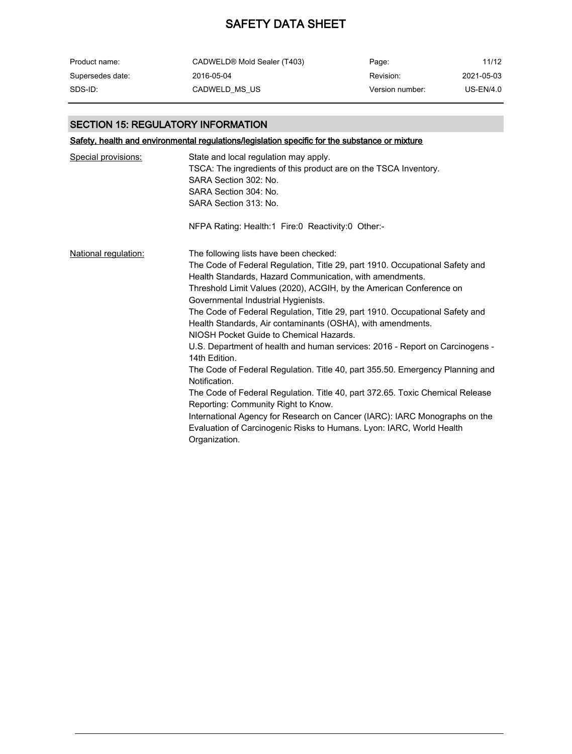| Product name:    | CADWELD® Mold Sealer (T403) | Page:           | 11/12       |
|------------------|-----------------------------|-----------------|-------------|
| Supersedes date: | 2016-05-04                  | Revision:       | 2021-05-03  |
| SDS-ID:          | CADWELD MS US               | Version number: | $US-EN/4.0$ |

### SECTION 15: REGULATORY INFORMATION

Safety, health and environmental regulations/legislation specific for the substance or mixture

| Special provisions:  | State and local regulation may apply.<br>TSCA: The ingredients of this product are on the TSCA Inventory.<br>SARA Section 302: No.<br>SARA Section 304: No.<br>SARA Section 313: No.                                                                                                                                                                                                                                                                                                                                                                                                                                                                                                                                                                                                                                                                                                                                                                                                         |
|----------------------|----------------------------------------------------------------------------------------------------------------------------------------------------------------------------------------------------------------------------------------------------------------------------------------------------------------------------------------------------------------------------------------------------------------------------------------------------------------------------------------------------------------------------------------------------------------------------------------------------------------------------------------------------------------------------------------------------------------------------------------------------------------------------------------------------------------------------------------------------------------------------------------------------------------------------------------------------------------------------------------------|
|                      | NFPA Rating: Health:1 Fire:0 Reactivity:0 Other:-                                                                                                                                                                                                                                                                                                                                                                                                                                                                                                                                                                                                                                                                                                                                                                                                                                                                                                                                            |
| National regulation: | The following lists have been checked:<br>The Code of Federal Regulation, Title 29, part 1910. Occupational Safety and<br>Health Standards, Hazard Communication, with amendments.<br>Threshold Limit Values (2020), ACGIH, by the American Conference on<br>Governmental Industrial Hygienists.<br>The Code of Federal Regulation, Title 29, part 1910. Occupational Safety and<br>Health Standards, Air contaminants (OSHA), with amendments.<br>NIOSH Pocket Guide to Chemical Hazards.<br>U.S. Department of health and human services: 2016 - Report on Carcinogens -<br>14th Edition.<br>The Code of Federal Regulation. Title 40, part 355.50. Emergency Planning and<br>Notification.<br>The Code of Federal Regulation. Title 40, part 372.65. Toxic Chemical Release<br>Reporting: Community Right to Know.<br>International Agency for Research on Cancer (IARC): IARC Monographs on the<br>Evaluation of Carcinogenic Risks to Humans. Lyon: IARC, World Health<br>Organization. |